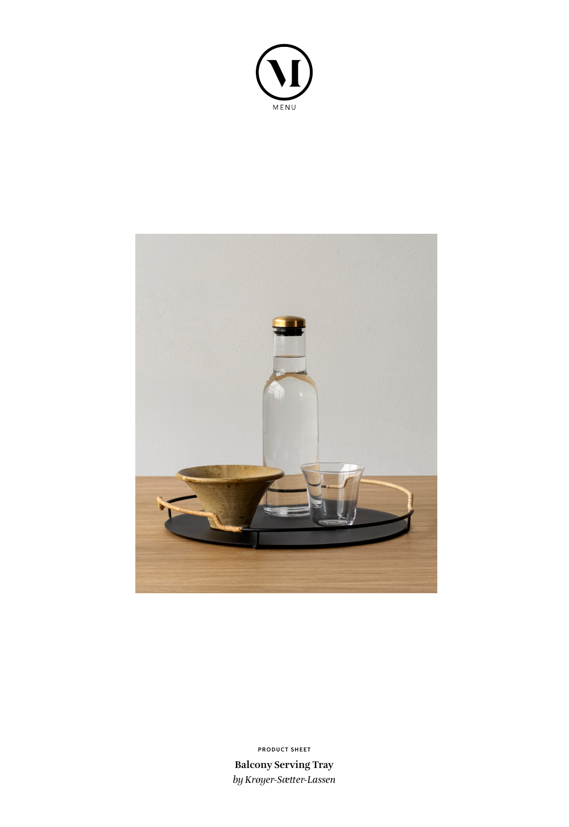



**Balcony Serving Tray** *by Krøyer-Sætter-Lassen* **PRODUCT SHEET**